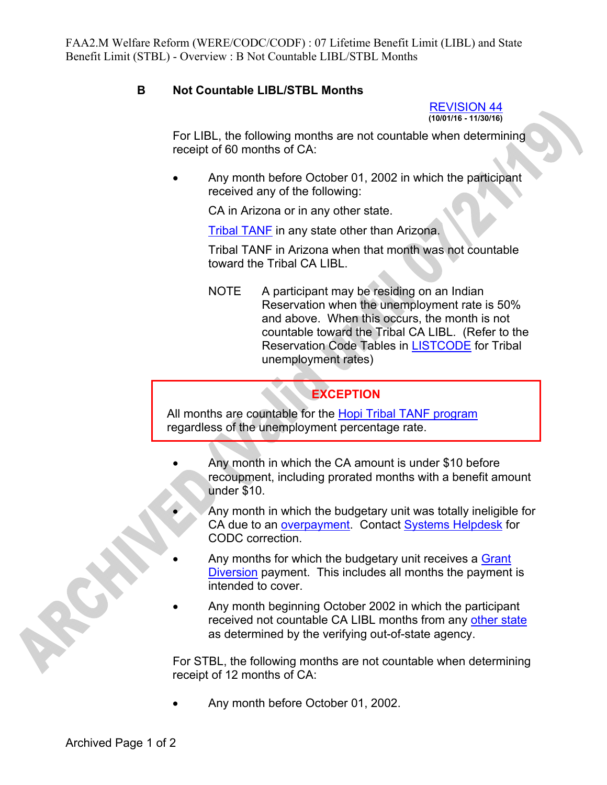## **B Not Countable LIBL/STBL Months**

REVISION 44 **(10/01/16 - 11/30/16)** 

For LIBL, the following months are not countable when determining receipt of 60 months of CA:

• Any month before October 01, 2002 in which the participant received any of the following:

CA in Arizona or in any other state.

Tribal TANF in any state other than Arizona.

Tribal TANF in Arizona when that month was not countable toward the Tribal CA LIBL.

NOTE A participant may be residing on an Indian Reservation when the unemployment rate is 50% and above. When this occurs, the month is not countable toward the Tribal CA LIBL. (Refer to the Reservation Code Tables in LISTCODE for Tribal unemployment rates)

## **EXCEPTION**

All months are countable for the Hopi Tribal TANF program regardless of the unemployment percentage rate.

- Any month in which the CA amount is under \$10 before recoupment, including prorated months with a benefit amount under \$10.
	- Any month in which the budgetary unit was totally ineligible for CA due to an overpayment. Contact Systems Helpdesk for CODC correction.
- Any months for which the budgetary unit receives a Grant Diversion payment. This includes all months the payment is intended to cover.
- Any month beginning October 2002 in which the participant received not countable CA LIBL months from any other state as determined by the verifying out-of-state agency.

For STBL, the following months are not countable when determining receipt of 12 months of CA:

Any month before October 01, 2002.